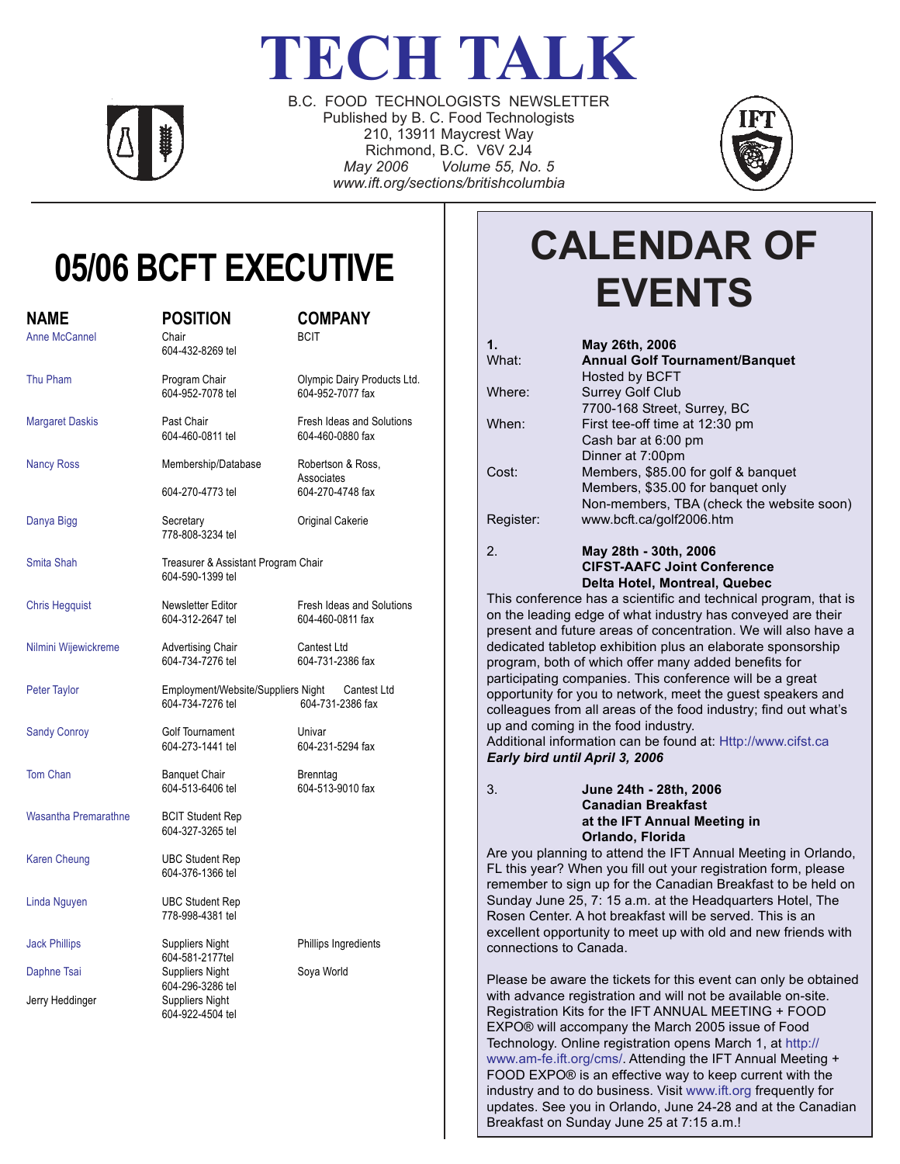# **TECH TALK**



B.C. FOOD TECHNOLOGISTS NEWSLETTER Published by B. C. Food Technologists 210, 13911 Maycrest Way Richmond, B.C. V6V 2J4 *May 2006 Volume 55, No. 5 www.ift.org/sections/britishcolumbia*



# **05/06 BCFT EXECUTIVE**

| <b>NAME</b>                 | <b>POSITION</b>                                               | <b>COMPANY</b>                                  |
|-----------------------------|---------------------------------------------------------------|-------------------------------------------------|
| <b>Anne McCannel</b>        | Chair<br>604-432-8269 tel                                     | <b>BCIT</b>                                     |
| Thu Pham                    | Program Chair<br>604-952-7078 tel                             | Olympic Dairy Products Ltd.<br>604-952-7077 fax |
| <b>Margaret Daskis</b>      | Past Chair<br>604-460-0811 tel                                | Fresh Ideas and Solutions<br>604-460-0880 fax   |
| <b>Nancy Ross</b>           | Membership/Database                                           | Robertson & Ross,<br>Associates                 |
|                             | 604-270-4773 tel                                              | 604-270-4748 fax                                |
| Danya Bigg                  | Secretary<br>778-808-3234 tel                                 | Original Cakerie                                |
| Smita Shah                  | Treasurer & Assistant Program Chair<br>604-590-1399 tel       |                                                 |
| <b>Chris Hegquist</b>       | Newsletter Editor<br>604-312-2647 tel                         | Fresh Ideas and Solutions<br>604-460-0811 fax   |
| Nilmini Wijewickreme        | <b>Advertising Chair</b><br>604-734-7276 tel                  | Cantest Ltd<br>604-731-2386 fax                 |
| <b>Peter Taylor</b>         | Employment/Website/Suppliers Night<br>604-734-7276 tel        | Cantest Ltd<br>604-731-2386 fax                 |
| <b>Sandy Conroy</b>         | Golf Tournament<br>604-273-1441 tel                           | Univar<br>604-231-5294 fax                      |
| Tom Chan                    | <b>Banquet Chair</b><br>604-513-6406 tel                      | Brenntag<br>604-513-9010 fax                    |
| <b>Wasantha Premarathne</b> | <b>BCIT Student Rep</b><br>604-327-3265 tel                   |                                                 |
| <b>Karen Cheung</b>         | <b>UBC Student Rep</b><br>604-376-1366 tel                    |                                                 |
| Linda Nguyen                | <b>UBC Student Rep</b><br>778-998-4381 tel                    |                                                 |
| <b>Jack Phillips</b>        | Suppliers Night                                               | Phillips Ingredients                            |
| Daphne Tsai                 | 604-581-2177tel<br><b>Suppliers Night</b><br>604-296-3286 tel | Soya World                                      |
| Jerry Heddinger             | <b>Suppliers Night</b><br>604-922-4504 tel                    |                                                 |
|                             |                                                               |                                                 |

# **CALENDAR OF EVENTS**

| $\mathbf 1$    | May 26th, 2006                            |
|----------------|-------------------------------------------|
| What:          | <b>Annual Golf Tournament/Banquet</b>     |
|                | Hosted by BCFT                            |
| Where:         | <b>Surrey Golf Club</b>                   |
|                | 7700-168 Street, Surrey, BC               |
| When:          | First tee-off time at 12:30 pm            |
|                | Cash bar at 6:00 pm                       |
|                | Dinner at 7:00pm                          |
| Cost:          | Members, \$85.00 for golf & banquet       |
|                | Members, \$35.00 for banquet only         |
|                | Non-members, TBA (check the website soon) |
| Register:      | www.bcft.ca/golf2006.htm                  |
| 2 <sub>1</sub> | May 28th - 30th, 2006                     |
|                | <b>CIFST-AAFC Joint Conference</b>        |
|                | Delta Hotel, Montreal, Quebec             |

This conference has a scientific and technical program, that is on the leading edge of what industry has conveyed are their present and future areas of concentration. We will also have a dedicated tabletop exhibition plus an elaborate sponsorship program, both of which offer many added benefits for participating companies. This conference will be a great opportunity for you to network, meet the guest speakers and colleagues from all areas of the food industry; find out what's up and coming in the food industry.

Additional information can be found at: Http://www.cifst.ca *Early bird until April 3, 2006*

3. **June 24th - 28th, 2006 Canadian Breakfast at the IFT Annual Meeting in Orlando, Florida**

Are you planning to attend the IFT Annual Meeting in Orlando, FL this year? When you fill out your registration form, please remember to sign up for the Canadian Breakfast to be held on Sunday June 25, 7: 15 a.m. at the Headquarters Hotel, The Rosen Center. A hot breakfast will be served. This is an excellent opportunity to meet up with old and new friends with connections to Canada.

Please be aware the tickets for this event can only be obtained with advance registration and will not be available on-site. Registration Kits for the IFT ANNUAL MEETING + FOOD EXPO® will accompany the March 2005 issue of Food Technology. Online registration opens March 1, at http:// www.am-fe.ift.org/cms/. Attending the IFT Annual Meeting + FOOD EXPO® is an effective way to keep current with the industry and to do business. Visit www.ift.org frequently for updates. See you in Orlando, June 24-28 and at the Canadian Breakfast on Sunday June 25 at 7:15 a.m.!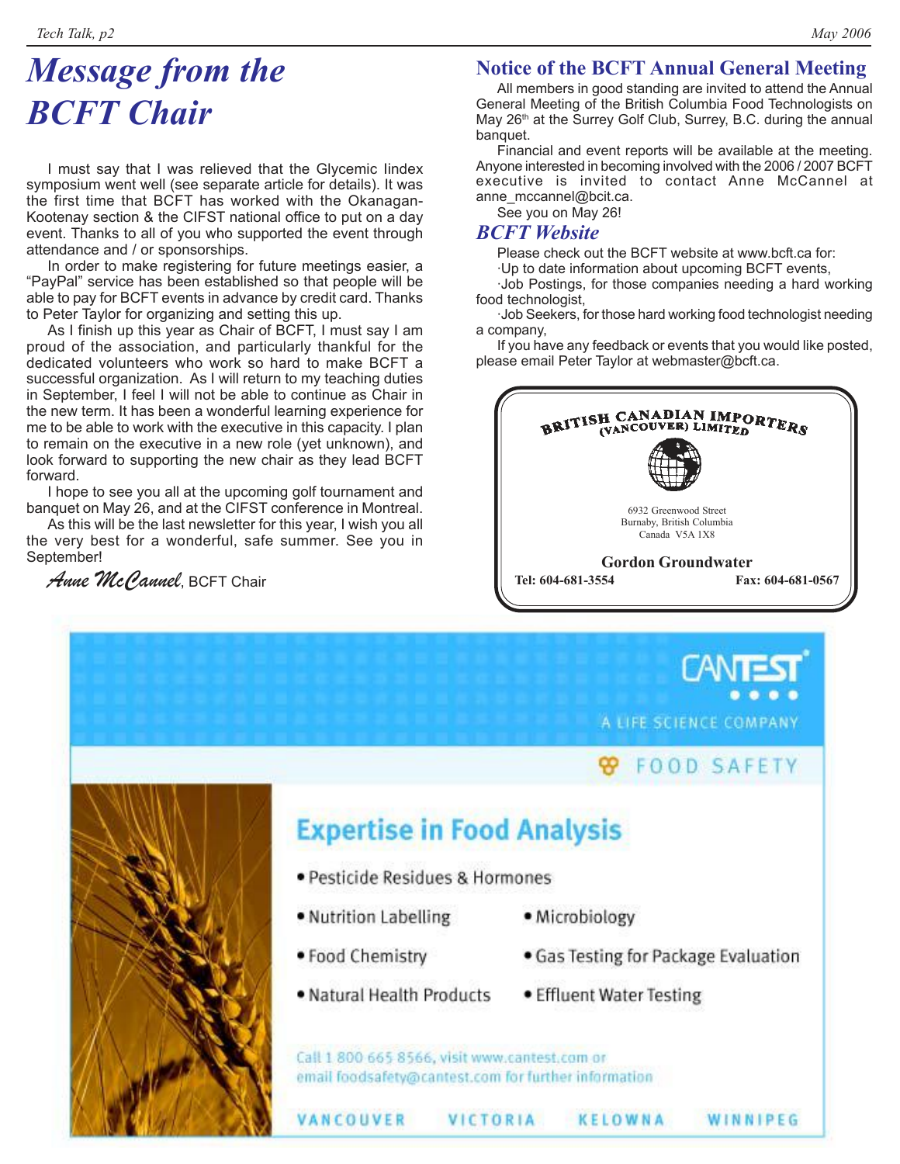### *Message from the BCFT Chair*

I must say that I was relieved that the Glycemic Iindex symposium went well (see separate article for details). It was the first time that BCFT has worked with the Okanagan-Kootenay section & the CIFST national office to put on a day event. Thanks to all of you who supported the event through attendance and / or sponsorships.

In order to make registering for future meetings easier, a "PayPal" service has been established so that people will be able to pay for BCFT events in advance by credit card. Thanks to Peter Taylor for organizing and setting this up.

As I finish up this year as Chair of BCFT, I must say I am proud of the association, and particularly thankful for the dedicated volunteers who work so hard to make BCFT a successful organization. As I will return to my teaching duties in September, I feel I will not be able to continue as Chair in the new term. It has been a wonderful learning experience for me to be able to work with the executive in this capacity. I plan to remain on the executive in a new role (yet unknown), and look forward to supporting the new chair as they lead BCFT forward.

I hope to see you all at the upcoming golf tournament and banquet on May 26, and at the CIFST conference in Montreal.

As this will be the last newsletter for this year, I wish you all the very best for a wonderful, safe summer. See you in September!

*Anne McCannel*, BCFT Chair

#### **Notice of the BCFT Annual General Meeting**

All members in good standing are invited to attend the Annual General Meeting of the British Columbia Food Technologists on May 26<sup>th</sup> at the Surrey Golf Club, Surrey, B.C. during the annual banquet.

Financial and event reports will be available at the meeting. Anyone interested in becoming involved with the 2006 / 2007 BCFT executive is invited to contact Anne McCannel at anne\_mccannel@bcit.ca.

See you on May 26!

#### *BCFT Website*

Please check out the BCFT website at www.bcft.ca for:

·Up to date information about upcoming BCFT events,

·Job Postings, for those companies needing a hard working food technologist,

·Job Seekers, for those hard working food technologist needing a company,

If you have any feedback or events that you would like posted, please email Peter Taylor at webmaster@bcft.ca.



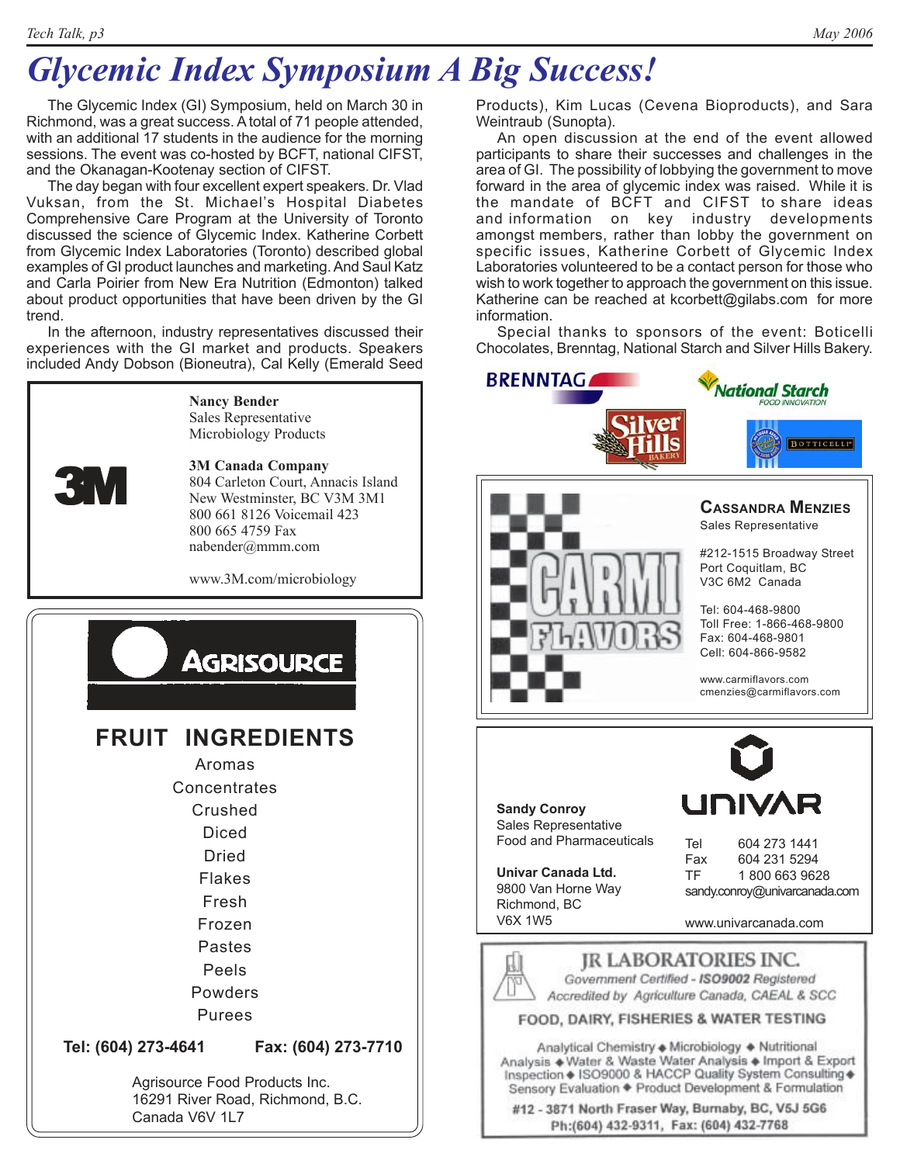## *Glycemic Index Symposium A Big Success!*

The Glycemic Index (GI) Symposium, held on March 30 in Richmond, was a great success. A total of 71 people attended, with an additional 17 students in the audience for the morning sessions. The event was co-hosted by BCFT, national CIFST, and the Okanagan-Kootenay section of CIFST.

The day began with four excellent expert speakers. Dr. Vlad Vuksan, from the St. Michael's Hospital Diabetes Comprehensive Care Program at the University of Toronto discussed the science of Glycemic Index. Katherine Corbett from Glycemic Index Laboratories (Toronto) described global examples of GI product launches and marketing. And Saul Katz and Carla Poirier from New Era Nutrition (Edmonton) talked about product opportunities that have been driven by the GI trend.

In the afternoon, industry representatives discussed their experiences with the GI market and products. Speakers included Andy Dobson (Bioneutra), Cal Kelly (Emerald Seed



#### **Nancy Bender** Sales Representative

Microbiology Products

#### **3M Canada Company**

804 Carleton Court, Annacis Island New Westminster, BC V3M 3M1 800 661 8126 Voicemail 423 800 665 4759 Fax nabender@mmm.com

www.3M.com/microbiology



Products), Kim Lucas (Cevena Bioproducts), and Sara Weintraub (Sunopta).

An open discussion at the end of the event allowed participants to share their successes and challenges in the area of GI. The possibility of lobbying the government to move forward in the area of glycemic index was raised. While it is the mandate of BCFT and CIFST to share ideas and information on key industry developments amongst members, rather than lobby the government on specific issues, Katherine Corbett of Glycemic Index Laboratories volunteered to be a contact person for those who wish to work together to approach the government on this issue. Katherine can be reached at kcorbett@gilabs.com for more information.

Special thanks to sponsors of the event: Boticelli Chocolates, Brenntag, National Starch and Silver Hills Bakery.



#12 - 3871 North Fraser Way, Burnaby, BC, V5J 5G6 Ph:(604) 432-9311, Fax: (604) 432-7768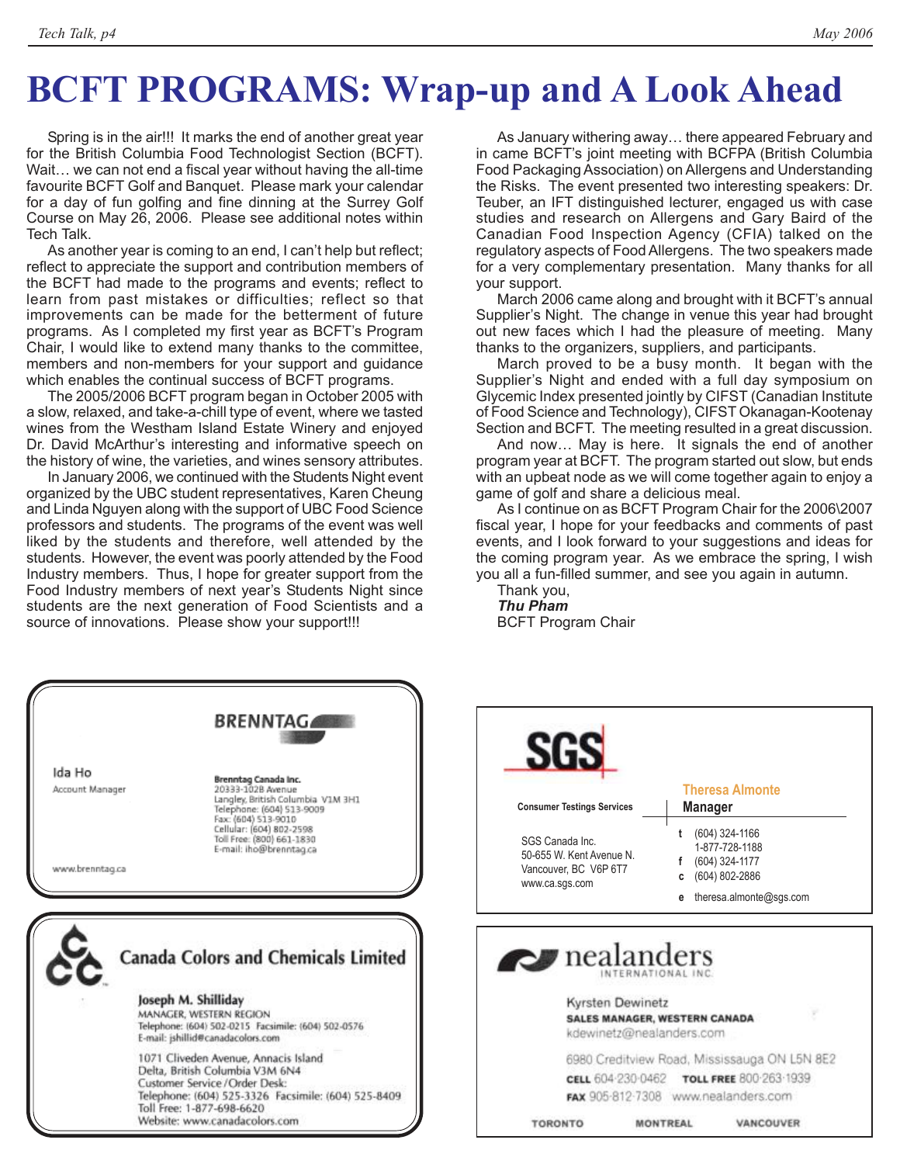# **BCFT PROGRAMS: Wrap-up and A Look Ahead**

Spring is in the air!!! It marks the end of another great year for the British Columbia Food Technologist Section (BCFT). Wait… we can not end a fiscal year without having the all-time favourite BCFT Golf and Banquet. Please mark your calendar for a day of fun golfing and fine dinning at the Surrey Golf Course on May 26, 2006. Please see additional notes within Tech Talk.

As another year is coming to an end, I can't help but reflect; reflect to appreciate the support and contribution members of the BCFT had made to the programs and events; reflect to learn from past mistakes or difficulties; reflect so that improvements can be made for the betterment of future programs. As I completed my first year as BCFT's Program Chair, I would like to extend many thanks to the committee, members and non-members for your support and guidance which enables the continual success of BCFT programs.

The 2005/2006 BCFT program began in October 2005 with a slow, relaxed, and take-a-chill type of event, where we tasted wines from the Westham Island Estate Winery and enjoyed Dr. David McArthur's interesting and informative speech on the history of wine, the varieties, and wines sensory attributes.

In January 2006, we continued with the Students Night event organized by the UBC student representatives, Karen Cheung and Linda Nguyen along with the support of UBC Food Science professors and students. The programs of the event was well liked by the students and therefore, well attended by the students. However, the event was poorly attended by the Food Industry members. Thus, I hope for greater support from the Food Industry members of next year's Students Night since students are the next generation of Food Scientists and a source of innovations. Please show your support!!!

As January withering away… there appeared February and in came BCFT's joint meeting with BCFPA (British Columbia Food Packaging Association) on Allergens and Understanding the Risks. The event presented two interesting speakers: Dr. Teuber, an IFT distinguished lecturer, engaged us with case studies and research on Allergens and Gary Baird of the Canadian Food Inspection Agency (CFIA) talked on the regulatory aspects of Food Allergens. The two speakers made for a very complementary presentation. Many thanks for all your support.

March 2006 came along and brought with it BCFT's annual Supplier's Night. The change in venue this year had brought out new faces which I had the pleasure of meeting. Many thanks to the organizers, suppliers, and participants.

March proved to be a busy month. It began with the Supplier's Night and ended with a full day symposium on Glycemic Index presented jointly by CIFST (Canadian Institute of Food Science and Technology), CIFST Okanagan-Kootenay Section and BCFT. The meeting resulted in a great discussion.

And now… May is here. It signals the end of another program year at BCFT. The program started out slow, but ends with an upbeat node as we will come together again to enjoy a game of golf and share a delicious meal.

As I continue on as BCFT Program Chair for the 2006\2007 fiscal year, I hope for your feedbacks and comments of past events, and I look forward to your suggestions and ideas for the coming program year. As we embrace the spring, I wish you all a fun-filled summer, and see you again in autumn.

Thank you, *Thu Pham* BCFT Program Chair